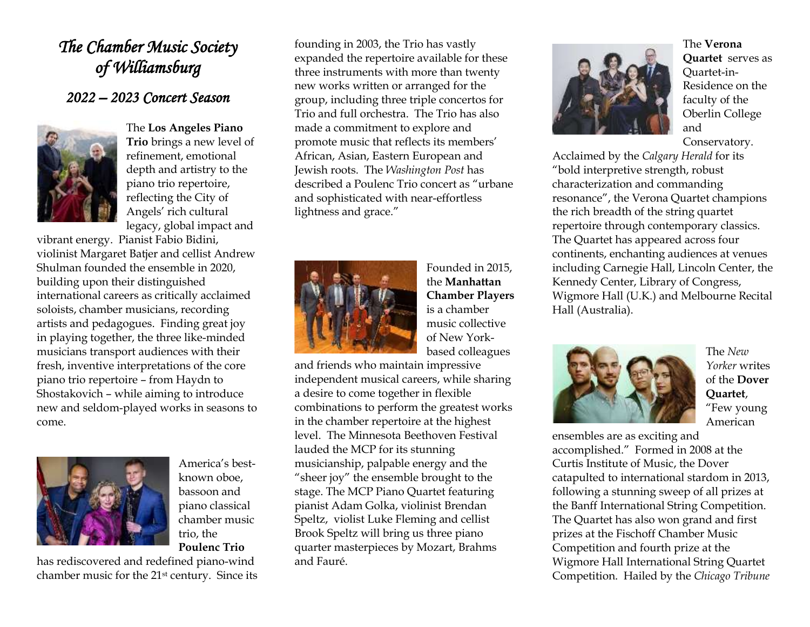## *The Chamber Music Society of Williamsburg*

## *2022 – 2023 Concert Season*



The **Los Angeles Piano Trio** brings a new level of refinement, emotional depth and artistry to the piano trio repertoire, reflecting the City of Angels' rich cultural legacy, global impact and

vibrant energy. Pianist Fabio Bidini, violinist Margaret Batjer and cellist Andrew Shulman founded the ensemble in 2020, building upon their distinguished international careers as critically acclaimed soloists, chamber musicians, recording artists and pedagogues. Finding great joy in playing together, the three like-minded musicians transport audiences with their fresh, inventive interpretations of the core piano trio repertoire – from Haydn to Shostakovich – while aiming to introduce new and seldom-played works in seasons to come.



America's bestknown oboe, bassoon and piano classical chamber music trio, the **Poulenc Trio**

has rediscovered and redefined piano-wind chamber music for the 21st century. Since its founding in 2003, the Trio has vastly expanded the repertoire available for these three instruments with more than twenty new works written or arranged for the group, including three triple concertos for Trio and full orchestra. The Trio has also made a commitment to explore and promote music that reflects its members' African, Asian, Eastern European and Jewish roots. The *Washington Post* has described a Poulenc Trio concert as "urbane and sophisticated with near-effortless lightness and grace."



Founded in 2015, the **Manhattan Chamber Players** is a chamber music collective of New Yorkbased colleagues

and friends who maintain impressive independent musical careers, while sharing a desire to come together in flexible combinations to perform the greatest works in the chamber repertoire at the highest level. The Minnesota Beethoven Festival lauded the MCP for its stunning musicianship, palpable energy and the "sheer joy" the ensemble brought to the stage. The MCP Piano Quartet featuring pianist Adam Golka, violinist Brendan Speltz, violist Luke Fleming and cellist Brook Speltz will bring us three piano quarter masterpieces by Mozart, Brahms and Fauré.



The **Verona Quartet** serves as Quartet-in-Residence on the faculty of the Oberlin College and Conservatory.

Acclaimed by the *Calgary Herald* for its "bold interpretive strength, robust characterization and commanding resonance", the Verona Quartet champions the rich breadth of the string quartet repertoire through contemporary classics. The Quartet has appeared across four continents, enchanting audiences at venues including Carnegie Hall, Lincoln Center, the Kennedy Center, Library of Congress, Wigmore Hall (U.K.) and Melbourne Recital Hall (Australia).



The *New Yorker* writes of the **Dover Quartet**, "Few young American

ensembles are as exciting and accomplished." Formed in 2008 at the Curtis Institute of Music, the Dover catapulted to international stardom in 2013, following a stunning sweep of all prizes at the Banff International String Competition. The Quartet has also won grand and first prizes at the Fischoff Chamber Music Competition and fourth prize at the Wigmore Hall International String Quartet Competition. Hailed by the *Chicago Tribune*